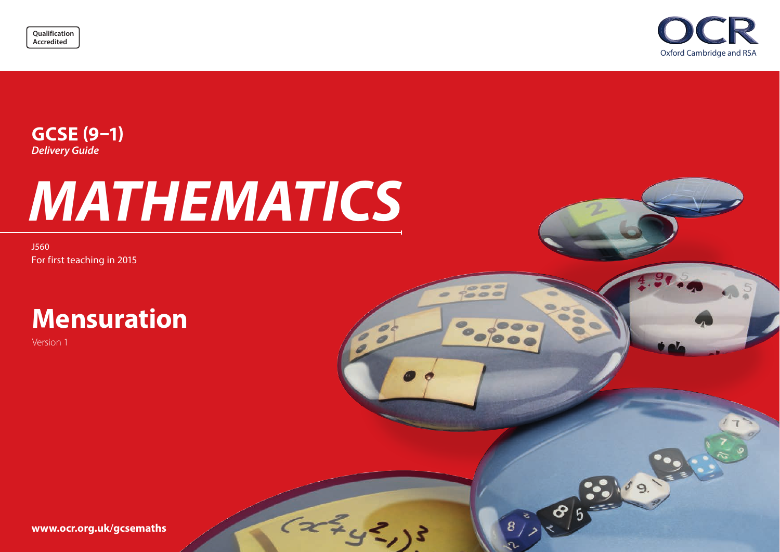



 $\sigma = 0$  $= 0 0$ 

 $(xz_{13}z_{13})$ 

 $\approx$  $\equiv$ 

8385-00

# **GCSE (9–1)** *Delivery Guide*

# *MATHEMATICS*

J560 For first teaching in 2015

# **Mensuration**

Version 1

**[www.ocr.org.uk](http://www.ocr.org.uk/gcsemaths)/gcsemaths**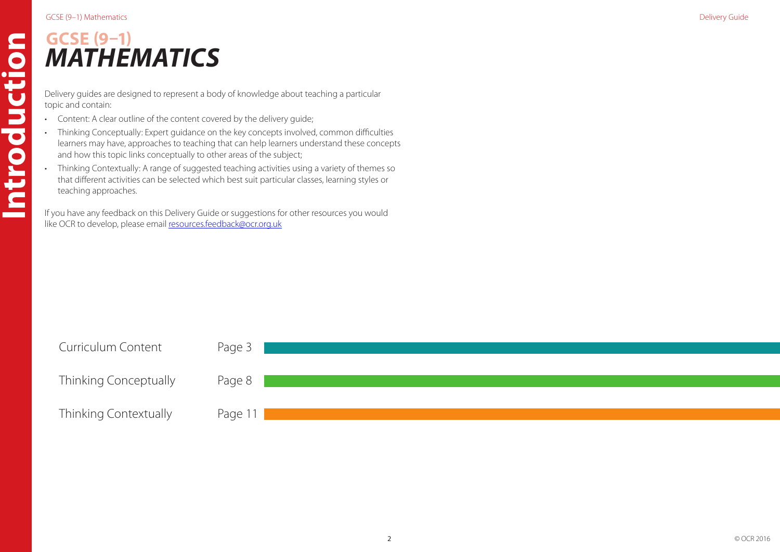**Introduction**

Introduction

# **GCSE (9–1)** *MATHEMATICS*

Delivery guides are designed to represent a body of knowledge about teaching a particular topic and contain:

- Content: A clear outline of the content covered by the delivery guide;
- Thinking Conceptually: Expert guidance on the key concepts involved, common difficulties learners may have, approaches to teaching that can help learners understand these concepts and how this topic links conceptually to other areas of the subject;
- Thinking Contextually: A range of suggested teaching activities using a variety of themes so that different activities can be selected which best suit particular classes, learning styles or teaching approaches.

If you have any feedback on this Delivery Guide or suggestions for other resources you would like OCR to develop, please email resources.feedback@ocr.org.uk

| <b>Curriculum Content</b>    | Page 3  |
|------------------------------|---------|
|                              |         |
| <b>Thinking Conceptually</b> | Page 8  |
|                              |         |
| Thinking Contextually        | Page 11 |
|                              |         |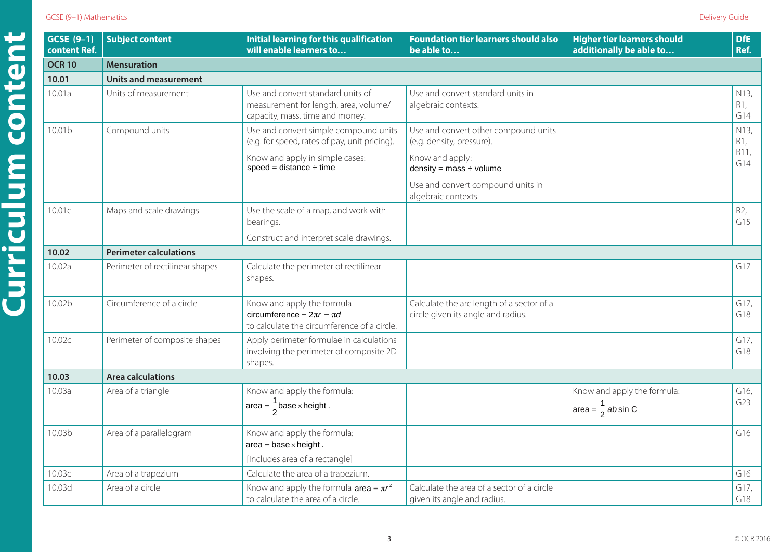10.03e Area of composite shapes Apply area formulae in

10.03e Area of composite shapes Apply area formulae in

**10.04 Volume and surface area calculations**

**10.04 Volume and surface area calculations**

**Curriculum content**

<span id="page-2-0"></span>

| GCSE (9-1)<br>content Ref. | <b>Subject content</b>          | <b>Initial learning for this qualification</b><br>will enable learners to                                     | <b>Foundation tier learners should also</b><br>be able to                       | <b>Higher tier learners should</b><br>additionally be able to | <b>DfE</b><br>Ref. |  |  |
|----------------------------|---------------------------------|---------------------------------------------------------------------------------------------------------------|---------------------------------------------------------------------------------|---------------------------------------------------------------|--------------------|--|--|
| <b>OCR 10</b>              | <b>Mensuration</b>              |                                                                                                               |                                                                                 |                                                               |                    |  |  |
| 10.01                      | <b>Units and measurement</b>    |                                                                                                               |                                                                                 |                                                               |                    |  |  |
| 10.01a                     | Units of measurement            | Use and convert standard units of<br>measurement for length, area, volume/<br>capacity, mass, time and money. | Use and convert standard units in<br>algebraic contexts.                        |                                                               | N13,<br>R1,<br>G14 |  |  |
| 10.01b                     | Compound units                  | Use and convert simple compound units<br>(e.g. for speed, rates of pay, unit pricing).                        | Use and convert other compound units<br>(e.g. density, pressure).               |                                                               | N13,<br>R1,        |  |  |
|                            |                                 | Know and apply in simple cases:<br>$speed = distance \div time$                                               | Know and apply:<br>density = $mass \div volume$                                 |                                                               | R11,<br>G14        |  |  |
|                            |                                 |                                                                                                               | Use and convert compound units in<br>algebraic contexts.                        |                                                               |                    |  |  |
| 10.01c                     | Maps and scale drawings         | Use the scale of a map, and work with<br>bearings.                                                            |                                                                                 |                                                               | R2,<br>G15         |  |  |
|                            |                                 | Construct and interpret scale drawings.                                                                       |                                                                                 |                                                               |                    |  |  |
| 10.02                      | <b>Perimeter calculations</b>   |                                                                                                               |                                                                                 |                                                               |                    |  |  |
| 10.02a                     | Perimeter of rectilinear shapes | Calculate the perimeter of rectilinear<br>shapes.                                                             |                                                                                 |                                                               | G17                |  |  |
| 10.02b                     | Circumference of a circle       | Know and apply the formula<br>circumference = $2\pi r = \pi d$<br>to calculate the circumference of a circle. | Calculate the arc length of a sector of a<br>circle given its angle and radius. |                                                               | G17,<br>G18        |  |  |
| 10.02c                     | Perimeter of composite shapes   | Apply perimeter formulae in calculations<br>involving the perimeter of composite 2D<br>shapes.                |                                                                                 |                                                               | G17,<br>G18        |  |  |
| 10.03                      | <b>Area calculations</b>        |                                                                                                               |                                                                                 |                                                               |                    |  |  |
| 10.03a                     | Area of a triangle              | Know and apply the formula:<br>area = $\frac{1}{2}$ base × height.                                            |                                                                                 | Know and apply the formula:<br>area = $\frac{1}{2}$ absin C.  | G16<br>G23         |  |  |
| 10.03b                     | Area of a parallelogram         | Know and apply the formula:<br>$area = base \times height$ .                                                  |                                                                                 |                                                               | G16                |  |  |
|                            |                                 | [Includes area of a rectangle]                                                                                |                                                                                 |                                                               |                    |  |  |
| 10.03c                     | Area of a trapezium             | Calculate the area of a trapezium.                                                                            |                                                                                 |                                                               | G16                |  |  |
| 10.03d                     | Area of a circle                | Know and apply the formula $\text{area} = \pi r^2$<br>to calculate the area of a circle.                      | Calculate the area of a sector of a circle<br>given its angle and radius.       |                                                               | G17,<br>G18        |  |  |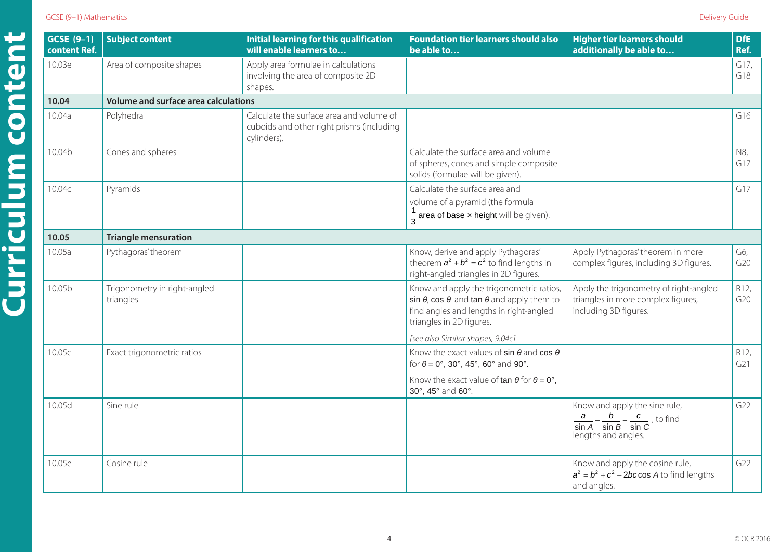# GCSE (9-1) Mathematics Delivery Guide

10.03c Area of a trapezium Calculate the area of a

**Curriculum content**

| $GCSE(9-1)$<br>content Ref. | <b>Subject content</b>                    | <b>Initial learning for this qualification</b><br>will enable learners to                            | <b>Foundation tier learners should also</b><br>be able to                                                                                                                         | <b>Higher tier learners should</b><br>additionally be able to                                                              | <b>DfE</b><br>Ref.     |  |  |
|-----------------------------|-------------------------------------------|------------------------------------------------------------------------------------------------------|-----------------------------------------------------------------------------------------------------------------------------------------------------------------------------------|----------------------------------------------------------------------------------------------------------------------------|------------------------|--|--|
| 10.03e                      | Area of composite shapes                  | Apply area formulae in calculations<br>involving the area of composite 2D<br>shapes.                 |                                                                                                                                                                                   |                                                                                                                            | G17,<br>G18            |  |  |
| 10.04                       | Volume and surface area calculations      |                                                                                                      |                                                                                                                                                                                   |                                                                                                                            |                        |  |  |
| 10.04a                      | Polyhedra                                 | Calculate the surface area and volume of<br>cuboids and other right prisms (including<br>cylinders). |                                                                                                                                                                                   |                                                                                                                            | G16                    |  |  |
| 10.04b                      | Cones and spheres                         |                                                                                                      | Calculate the surface area and volume<br>of spheres, cones and simple composite<br>solids (formulae will be given).                                                               |                                                                                                                            | N8,<br>G17             |  |  |
| 10.04c                      | Pyramids                                  |                                                                                                      | Calculate the surface area and<br>volume of a pyramid (the formula<br>$\frac{1}{3}$ area of base x height will be given).                                                         |                                                                                                                            | G17                    |  |  |
| 10.05                       | <b>Triangle mensuration</b>               |                                                                                                      |                                                                                                                                                                                   |                                                                                                                            |                        |  |  |
| 10.05a                      | Pythagoras' theorem                       |                                                                                                      | Know, derive and apply Pythagoras'<br>theorem $a^2 + b^2 = c^2$ to find lengths in<br>right-angled triangles in 2D figures.                                                       | Apply Pythagoras' theorem in more<br>complex figures, including 3D figures.                                                | G6,<br>G20             |  |  |
| 10.05b                      | Trigonometry in right-angled<br>triangles |                                                                                                      | Know and apply the trigonometric ratios,<br>sin $\theta$ , cos $\theta$ and tan $\theta$ and apply them to<br>find angles and lengths in right-angled<br>triangles in 2D figures. | Apply the trigonometry of right-angled<br>triangles in more complex figures,<br>including 3D figures.                      | R12,<br>G20            |  |  |
|                             |                                           |                                                                                                      | [see also Similar shapes, 9.04c]                                                                                                                                                  |                                                                                                                            |                        |  |  |
| 10.05c                      | Exact trigonometric ratios                |                                                                                                      | Know the exact values of sin $\theta$ and cos $\theta$<br>for $\theta = 0^{\circ}$ , 30°, 45°, 60° and 90°.                                                                       |                                                                                                                            | R <sub>12</sub><br>G21 |  |  |
|                             |                                           |                                                                                                      | Know the exact value of $\tan \theta$ for $\theta = 0^\circ$ ,<br>30°, 45° and 60°.                                                                                               |                                                                                                                            |                        |  |  |
| 10.05d                      | Sine rule                                 |                                                                                                      |                                                                                                                                                                                   | Know and apply the sine rule,<br>$\frac{a}{\sin A} = \frac{b}{\sin B} = \frac{c}{\sin C}$ , to find<br>lengths and angles. | G22                    |  |  |
| 10.05e                      | Cosine rule                               |                                                                                                      |                                                                                                                                                                                   | Know and apply the cosine rule,<br>$a^2 = b^2 + c^2 - 2bc \cos A$ to find lengths<br>and angles.                           | G22                    |  |  |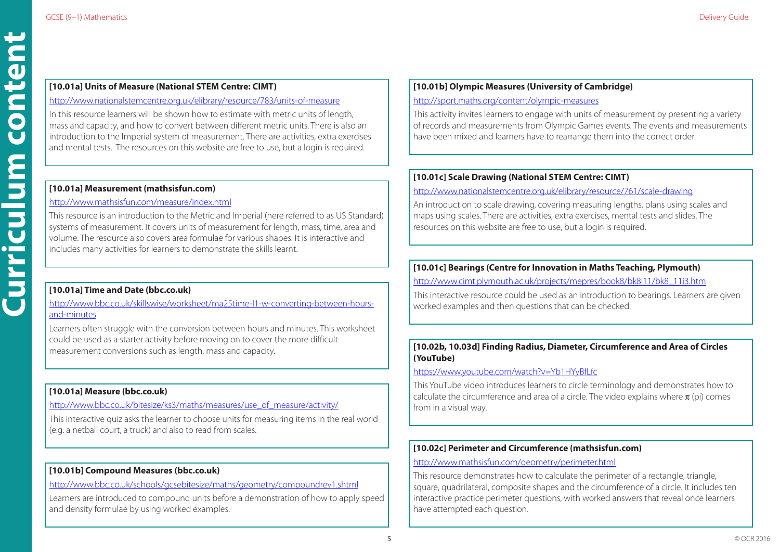# **[10.01a] Units of Measure (National STEM Centre: CIMT)**

### <http://www.nationalstemcentre.org.uk/elibrary/resource/783/units-of-measure>

In this resource learners will be shown how to estimate with metric units of length, mass and capacity, and how to convert between different metric units. There is also an introduction to the Imperial system of measurement. There are activities, extra exercises and mental tests. The resources on this website are free to use, but a login is required.

# **[10.01a] Measurement (mathsisfun.com)**

# <http://www.mathsisfun.com/measure/index.html>

This resource is an introduction to the Metric and Imperial (here referred to as US Standard) systems of measurement. It covers units of measurement for length, mass, time, area and volume. The resource also covers area formulae for various shapes. It is interactive and includes many activities for learners to demonstrate the skills learnt.

# **[10.01a] Time and Date (bbc.co.uk)**

[http://www.bbc.co.uk/skillswise/worksheet/ma25time-l1-w-converting-between-hours](http://www.bbc.co.uk/skillswise/worksheet/ma25time-l1-w-converting-between-hours-and-minutes)[and-minutes](http://www.bbc.co.uk/skillswise/worksheet/ma25time-l1-w-converting-between-hours-and-minutes)

Learners often struggle with the conversion between hours and minutes. This worksheet could be used as a starter activity before moving on to cover the more difficult measurement conversions such as length, mass and capacity.

# **[10.01a] Measure (bbc.co.uk)**

# [http://www.bbc.co.uk/bitesize/ks3/maths/measures/use\\_of\\_measure/activity/](http://www.bbc.co.uk/bitesize/ks3/maths/measures/use_of_measure/activity/)

This interactive quiz asks the learner to choose units for measuring items in the real world (e.g. a netball court, a truck) and also to read from scales.

# **[10.01b] Compound Measures (bbc.co.uk)**

<http://www.bbc.co.uk/schools/gcsebitesize/maths/geometry/compoundrev1.shtml>

Learners are introduced to compound units before a demonstration of how to apply speed and density formulae by using worked examples.

# **[10.01b] Olympic Measures (University of Cambridge)**

# <http://sport.maths.org/content/olympic-measures>

This activity invites learners to engage with units of measurement by presenting a variety of records and measurements from Olympic Games events. The events and measurements have been mixed and learners have to rearrange them into the correct order.

# **[10.01c] Scale Drawing (National STEM Centre: CIMT)**

# <http://www.nationalstemcentre.org.uk/elibrary/resource/761/scale-drawing>

An introduction to scale drawing, covering measuring lengths, plans using scales and maps using scales. There are activities, extra exercises, mental tests and slides. The resources on this website are free to use, but a login is required.

# **[10.01c] Bearings (Centre for Innovation in Maths Teaching, Plymouth)**

[http://www.cimt.plymouth.ac.uk/projects/mepres/book8/bk8i11/bk8\\_11i3.htm](http://www.cimt.plymouth.ac.uk/projects/mepres/book8/bk8i11/bk8_11i3.htm)

This interactive resource could be used as an introduction to bearings. Learners are given worked examples and then questions that can be checked.

# **[10.02b, 10.03d] Finding Radius, Diameter, Circumference and Area of Circles (YouTube)**

### <https://www.youtube.com/watch?v=Yb1HYyBfLfc>

This YouTube video introduces learners to circle terminology and demonstrates how to calculate the circumference and area of a circle. The video explains where  $\pi$  (pi) comes from in a visual way.

# **[10.02c] Perimeter and Circumference (mathsisfun.com)**

# <http://www.mathsisfun.com/geometry/perimeter.html>

This resource demonstrates how to calculate the perimeter of a rectangle, triangle, square, quadrilateral, composite shapes and the circumference of a circle. It includes ten interactive practice perimeter questions, with worked answers that reveal once learners have attempted each question.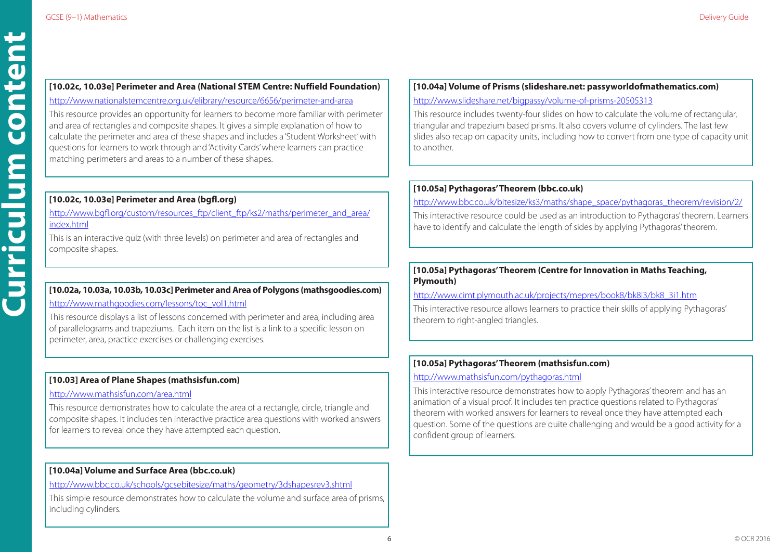# **[10.02c, 10.03e] Perimeter and Area (National STEM Centre: Nuffield Foundation)**

<http://www.nationalstemcentre.org.uk/elibrary/resource/6656/perimeter-and-area>

This resource provides an opportunity for learners to become more familiar with perimeter and area of rectangles and composite shapes. It gives a simple explanation of how to calculate the perimeter and area of these shapes and includes a 'Student Worksheet' with questions for learners to work through and 'Activity Cards' where learners can practice matching perimeters and areas to a number of these shapes.

# **[10.02c, 10.03e] Perimeter and Area (bgfl.org)**

http://www.bafl.org/custom/resources\_ftp/client\_ftp/ks2/maths/perimeter\_and\_area/ [index.html](http://www.bgfl.org/custom/resources_ftp/client_ftp/ks2/maths/perimeter_and_area/index.html)

This is an interactive quiz (with three levels) on perimeter and area of rectangles and composite shapes.

# **[10.02a, 10.03a, 10.03b, 10.03c] Perimeter and Area of Polygons (mathsgoodies.com)** [http://www.mathgoodies.com/lessons/toc\\_vol1.html](http://www.mathgoodies.com/lessons/toc_vol1.html)

This resource displays a list of lessons concerned with perimeter and area, including area of parallelograms and trapeziums. Each item on the list is a link to a specific lesson on perimeter, area, practice exercises or challenging exercises.

# **[10.03] Area of Plane Shapes (mathsisfun.com)**

# <http://www.mathsisfun.com/area.html>

This resource demonstrates how to calculate the area of a rectangle, circle, triangle and composite shapes. It includes ten interactive practice area questions with worked answers for learners to reveal once they have attempted each question.

# **[10.04a] Volume and Surface Area (bbc.co.uk)**

<http://www.bbc.co.uk/schools/gcsebitesize/maths/geometry/3dshapesrev3.shtml>

This simple resource demonstrates how to calculate the volume and surface area of prisms, including cylinders.

# **[10.04a] Volume of Prisms (slideshare.net: passyworldofmathematics.com)** <http://www.slideshare.net/bigpassy/volume-of-prisms-20505313>

This resource includes twenty-four slides on how to calculate the volume of rectangular, triangular and trapezium based prisms. It also covers volume of cylinders. The last few slides also recap on capacity units, including how to convert from one type of capacity unit to another.

# **[10.05a] Pythagoras' Theorem (bbc.co.uk)**

[http://www.bbc.co.uk/bitesize/ks3/maths/shape\\_space/pythagoras\\_theorem/revision/2/](http://www.bbc.co.uk/bitesize/ks3/maths/shape_space/pythagoras_theorem/revision/2/)

This interactive resource could be used as an introduction to Pythagoras' theorem. Learners have to identify and calculate the length of sides by applying Pythagoras' theorem.

# **[10.05a] Pythagoras' Theorem (Centre for Innovation in Maths Teaching, Plymouth)**

[http://www.cimt.plymouth.ac.uk/projects/mepres/book8/bk8i3/bk8\\_3i1.htm](http://www.cimt.plymouth.ac.uk/projects/mepres/book8/bk8i3/bk8_3i1.htm)

This interactive resource allows learners to practice their skills of applying Pythagoras' theorem to right-angled triangles.

# **[10.05a] Pythagoras' Theorem (mathsisfun.com)**

# <http://www.mathsisfun.com/pythagoras.html>

This interactive resource demonstrates how to apply Pythagoras' theorem and has an animation of a visual proof. It includes ten practice questions related to Pythagoras' theorem with worked answers for learners to reveal once they have attempted each question. Some of the questions are quite challenging and would be a good activity for a confident group of learners.

conten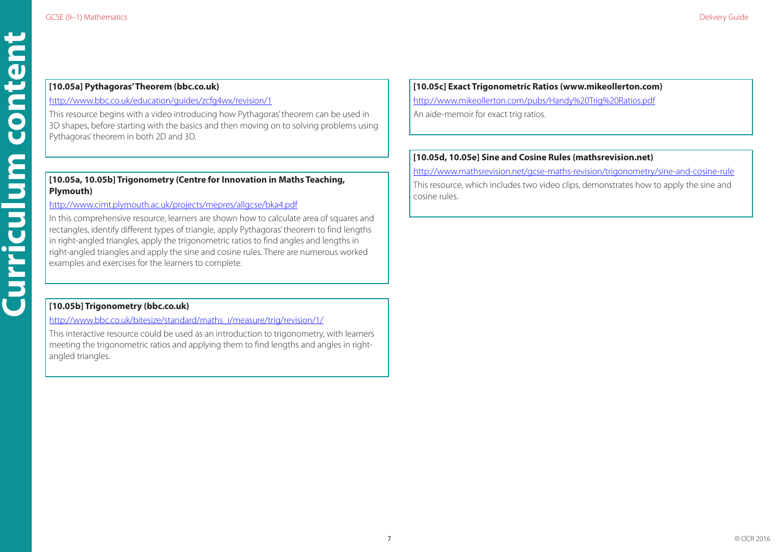# **[10.05a] Pythagoras' Theorem (bbc.co.uk)**

<http://www.bbc.co.uk/education/guides/zcfg4wx/revision/1>

This resource begins with a video introducing how Pythagoras' theorem can be used in 3D shapes, before starting with the basics and then moving on to solving problems using Pythagoras' theorem in both 2D and 3D.

# **[10.05a, 10.05b] Trigonometry (Centre for Innovation in Maths Teaching, Plymouth)**

# <http://www.cimt.plymouth.ac.uk/projects/mepres/allgcse/bka4.pdf>

In this comprehensive resource, learners are shown how to calculate area of squares and rectangles, identify different types of triangle, apply Pythagoras' theorem to find lengths in right-angled triangles, apply the trigonometric ratios to find angles and lengths in right-angled triangles and apply the sine and cosine rules. There are numerous worked examples and exercises for the learners to complete.

# **[10.05b] Trigonometry (bbc.co.uk)**

[http://www.bbc.co.uk/bitesize/standard/maths\\_i/measure/trig/revision/1/](http://www.bbc.co.uk/bitesize/standard/maths_i/measure/trig/revision/1/)

This interactive resource could be used as an introduction to trigonometry, with learners meeting the trigonometric ratios and applying them to find lengths and angles in rightangled triangles.

# **[10.05c] Exact Trigonometric Ratios (www.mikeollerton.com)**

<http://www.mikeollerton.com/pubs/Handy%20Trig%20Ratios.pdf>

An aide-memoir for exact trig ratios.

# **[10.05d, 10.05e] Sine and Cosine Rules (mathsrevision.net)**

<http://www.mathsrevision.net/gcse-maths-revision/trigonometry/sine-and-cosine-rule> This resource, which includes two video clips, demonstrates how to apply the sine and cosine rules.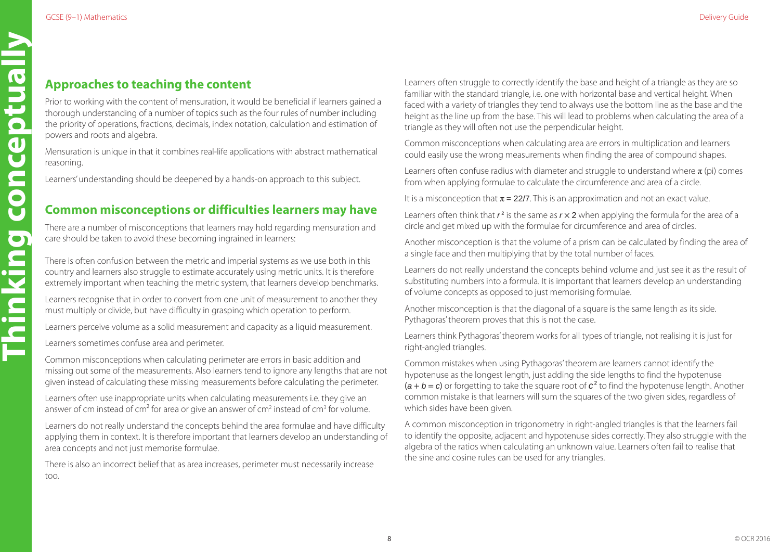# <span id="page-7-0"></span>**Approaches to teaching the content**

Prior to working with the content of mensuration, it would be beneficial if learners gained a thorough understanding of a number of topics such as the four rules of number including the priority of operations, fractions, decimals, index notation, calculation and estimation of powers and roots and algebra.

Mensuration is unique in that it combines real-life applications with abstract mathematical reasoning.

Learners' understanding should be deepened by a hands-on approach to this subject.

# **Common misconceptions or difficulties learners may have**

There are a number of misconceptions that learners may hold regarding mensuration and care should be taken to avoid these becoming ingrained in learners:

There is often confusion between the metric and imperial systems as we use both in this country and learners also struggle to estimate accurately using metric units. It is therefore extremely important when teaching the metric system, that learners develop benchmarks.

Learners recognise that in order to convert from one unit of measurement to another they must multiply or divide, but have difficulty in grasping which operation to perform.

Learners perceive volume as a solid measurement and capacity as a liquid measurement.

Learners sometimes confuse area and perimeter.

Common misconceptions when calculating perimeter are errors in basic addition and missing out some of the measurements. Also learners tend to ignore any lengths that are not given instead of calculating these missing measurements before calculating the perimeter.

Learners often use inappropriate units when calculating measurements i.e. they give an answer of cm instead of cm<sup>2</sup> for area or give an answer of cm<sup>2</sup> instead of cm<sup>3</sup> for volume.

Learners do not really understand the concepts behind the area formulae and have difficulty applying them in context. It is therefore important that learners develop an understanding of area concepts and not just memorise formulae.

There is also an incorrect belief that as area increases, perimeter must necessarily increase too.

8

Learners often struggle to correctly identify the base and height of a triangle as they are so familiar with the standard triangle, i.e. one with horizontal base and vertical height. When faced with a variety of triangles they tend to always use the bottom line as the base and the height as the line up from the base. This will lead to problems when calculating the area of a triangle as they will often not use the perpendicular height.

Common misconceptions when calculating area are errors in multiplication and learners could easily use the wrong measurements when finding the area of compound shapes.

Learners often confuse radius with diameter and struggle to understand where  $\pi$  (pi) comes from when applying formulae to calculate the circumference and area of a circle.

It is a misconception that  $\pi = 22/7$ . This is an approximation and not an exact value.

Learners often think that  $r^2$  is the same as  $r \times 2$  when applying the formula for the area of a circle and get mixed up with the formulae for circumference and area of circles.

Another misconception is that the volume of a prism can be calculated by finding the area of a single face and then multiplying that by the total number of faces.

Learners do not really understand the concepts behind volume and just see it as the result of substituting numbers into a formula. It is important that learners develop an understanding of volume concepts as opposed to just memorising formulae.

Another misconception is that the diagonal of a square is the same length as its side. Pythagoras' theorem proves that this is not the case.

Learners think Pythagoras' theorem works for all types of triangle, not realising it is just for right-angled triangles.

Common mistakes when using Pythagoras' theorem are learners cannot identify the hypotenuse as the longest length, just adding the side lengths to find the hypotenuse  $(a + b = c)$  or forgetting to take the square root of  $c<sup>2</sup>$  to find the hypotenuse length. Another common mistake is that learners will sum the squares of the two given sides, regardless of which sides have been given.

A common misconception in trigonometry in right-angled triangles is that the learners fail to identify the opposite, adjacent and hypotenuse sides correctly. They also struggle with the algebra of the ratios when calculating an unknown value. Learners often fail to realise that the sine and cosine rules can be used for any triangles.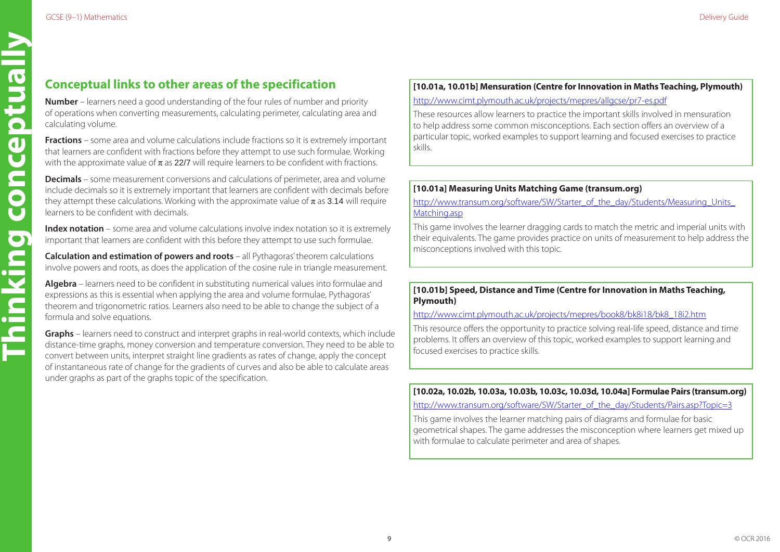**Thinking conceptually**

CON

Thinking

ceptual

# **Conceptual links to other areas of the specification**

**Number** – learners need a good understanding of the four rules of number and priority of operations when converting measurements, calculating perimeter, calculating area and calculating volume.

**Fractions** – some area and volume calculations include fractions so it is extremely important that learners are confident with fractions before they attempt to use such formulae. Working with the approximate value of  $\pi$  as 22/7 will require learners to be confident with fractions.

**Decimals** – some measurement conversions and calculations of perimeter, area and volume include decimals so it is extremely important that learners are confident with decimals before they attempt these calculations. Working with the approximate value of  $\pi$  as 3.14 will require learners to be confident with decimals.

**Index notation** – some area and volume calculations involve index notation so it is extremely important that learners are confident with this before they attempt to use such formulae.

**Calculation and estimation of powers and roots** – all Pythagoras' theorem calculations involve powers and roots, as does the application of the cosine rule in triangle measurement.

**Algebra** – learners need to be confident in substituting numerical values into formulae and expressions as this is essential when applying the area and volume formulae, Pythagoras' theorem and trigonometric ratios. Learners also need to be able to change the subject of a formula and solve equations.

**Graphs** – learners need to construct and interpret graphs in real-world contexts, which include distance-time graphs, money conversion and temperature conversion. They need to be able to convert between units, interpret straight line gradients as rates of change, apply the concept of instantaneous rate of change for the gradients of curves and also be able to calculate areas under graphs as part of the graphs topic of the specification.

# **[10.01a, 10.01b] Mensuration (Centre for Innovation in Maths Teaching, Plymouth)** <http://www.cimt.plymouth.ac.uk/projects/mepres/allgcse/pr7-es.pdf>

These resources allow learners to practice the important skills involved in mensuration to help address some common misconceptions. Each section offers an overview of a particular topic, worked examples to support learning and focused exercises to practice skills.

# **[10.01a] Measuring Units Matching Game (transum.org)**

[http://www.transum.org/software/SW/Starter\\_of\\_the\\_day/Students/Measuring\\_Units\\_](http://www.transum.org/software/SW/Starter_of_the_day/Students/Measuring_Units_Matching.asp) Matching asp

This game involves the learner dragging cards to match the metric and imperial units with their equivalents. The game provides practice on units of measurement to help address the misconceptions involved with this topic.

# **[10.01b] Speed, Distance and Time (Centre for Innovation in Maths Teaching, Plymouth)**

[http://www.cimt.plymouth.ac.uk/projects/mepres/book8/bk8i18/bk8\\_18i2.htm](http://www.cimt.plymouth.ac.uk/projects/mepres/book8/bk8i18/bk8_18i2.htm)

This resource offers the opportunity to practice solving real-life speed, distance and time problems. It offers an overview of this topic, worked examples to support learning and focused exercises to practice skills.

**[10.02a, 10.02b, 10.03a, 10.03b, 10.03c, 10.03d, 10.04a] Formulae Pairs (transum.org)**

[http://www.transum.org/software/SW/Starter\\_of\\_the\\_day/Students/Pairs.asp?Topic=3](http://www.transum.org/software/SW/Starter_of_the_day/Students/Pairs.asp?Topic=3
)

This game involves the learner matching pairs of diagrams and formulae for basic geometrical shapes. The game addresses the misconception where learners get mixed up with formulae to calculate perimeter and area of shapes.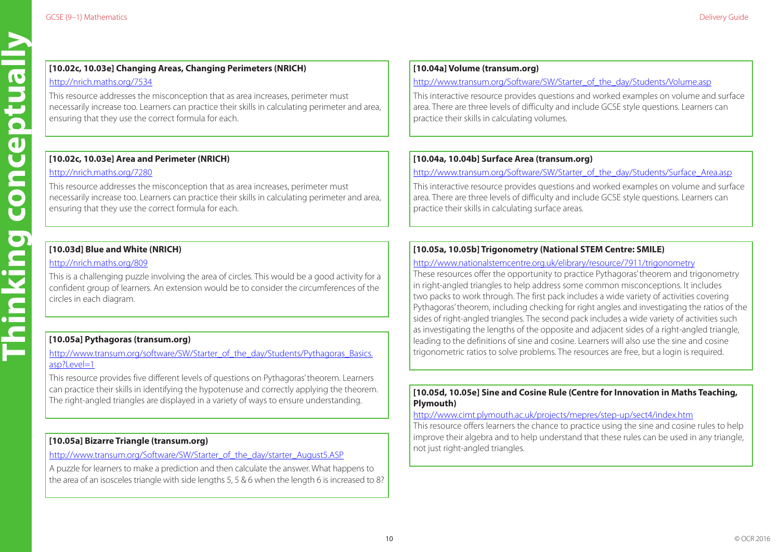# **[10.02c, 10.03e] Changing Areas, Changing Perimeters (NRICH)**

# <http://nrich.maths.org/7534>

This resource addresses the misconception that as area increases, perimeter must necessarily increase too. Learners can practice their skills in calculating perimeter and area, ensuring that they use the correct formula for each.

# **[10.02c, 10.03e] Area and Perimeter (NRICH)**

# <http://nrich.maths.org/7280>

**Thinking conceptually**

Thinking

CON

 $\overline{\mathbf{a}}$ Ū

**Ilento** 

This resource addresses the misconception that as area increases, perimeter must necessarily increase too. Learners can practice their skills in calculating perimeter and area, ensuring that they use the correct formula for each.

# **[10.03d] Blue and White (NRICH)**

# <http://nrich.maths.org/809>

This is a challenging puzzle involving the area of circles. This would be a good activity for a confident group of learners. An extension would be to consider the circumferences of the circles in each diagram.

# **[10.05a] Pythagoras (transum.org)**

[http://www.transum.org/software/SW/Starter\\_of\\_the\\_day/Students/Pythagoras\\_Basics.](http://www.transum.org/software/SW/Starter_of_the_day/Students/Pythagoras_Basics.asp?Level=1) [asp?Level=1](http://www.transum.org/software/SW/Starter_of_the_day/Students/Pythagoras_Basics.asp?Level=1)

This resource provides five different levels of questions on Pythagoras' theorem. Learners can practice their skills in identifying the hypotenuse and correctly applying the theorem. The right-angled triangles are displayed in a variety of ways to ensure understanding.

# **[10.05a] Bizarre Triangle (transum.org)**

# [http://www.transum.org/Software/SW/Starter\\_of\\_the\\_day/starter\\_August5.ASP](http://www.transum.org/Software/SW/Starter_of_the_day/starter_August5.ASP)

A puzzle for learners to make a prediction and then calculate the answer. What happens to the area of an isosceles triangle with side lengths 5, 5 & 6 when the length 6 is increased to 8?

# **[10.04a] Volume (transum.org)**

# [http://www.transum.org/Software/SW/Starter\\_of\\_the\\_day/Students/Volume.asp](http://www.transum.org/Software/SW/Starter_of_the_day/Students/Volume.asp)

This interactive resource provides questions and worked examples on volume and surface area. There are three levels of difficulty and include GCSE style questions. Learners can practice their skills in calculating volumes.

# **[10.04a, 10.04b] Surface Area (transum.org)**

# [http://www.transum.org/Software/SW/Starter\\_of\\_the\\_day/Students/Surface\\_Area.asp](http://www.transum.org/Software/SW/Starter_of_the_day/Students/Surface_Area.asp)

This interactive resource provides questions and worked examples on volume and surface area. There are three levels of difficulty and include GCSE style questions. Learners can practice their skills in calculating surface areas.

# **[10.05a, 10.05b] Trigonometry (National STEM Centre: SMILE)**

# <http://www.nationalstemcentre.org.uk/elibrary/resource/7911/trigonometry>

These resources offer the opportunity to practice Pythagoras' theorem and trigonometry in right-angled triangles to help address some common misconceptions. It includes two packs to work through. The first pack includes a wide variety of activities covering Pythagoras' theorem, including checking for right angles and investigating the ratios of the sides of right-angled triangles. The second pack includes a wide variety of activities such as investigating the lengths of the opposite and adjacent sides of a right-angled triangle, leading to the definitions of sine and cosine. Learners will also use the sine and cosine trigonometric ratios to solve problems. The resources are free, but a login is required.

# **[10.05d, 10.05e] Sine and Cosine Rule (Centre for Innovation in Maths Teaching, Plymouth)**

### <http://www.cimt.plymouth.ac.uk/projects/mepres/step-up/sect4/index.htm>

This resource offers learners the chance to practice using the sine and cosine rules to help improve their algebra and to help understand that these rules can be used in any triangle, not just right-angled triangles.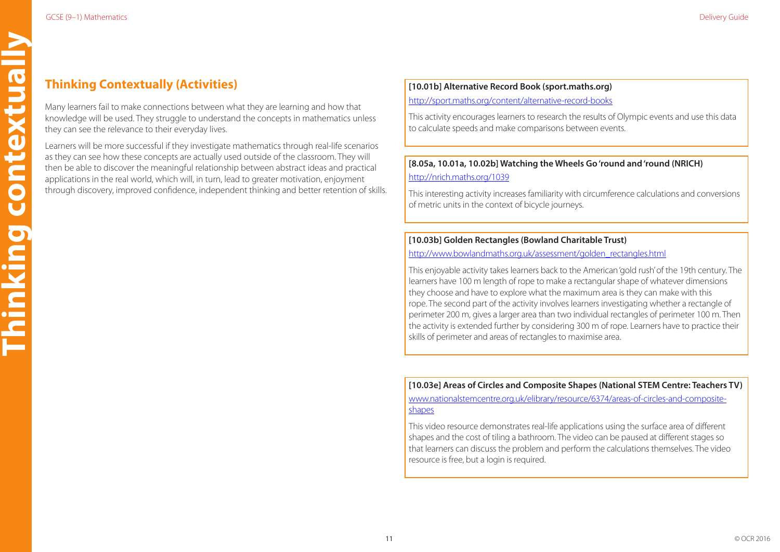# <span id="page-10-0"></span>**Thinking Contextually (Activities)**

Many learners fail to make connections between what they are learning and how that knowledge will be used. They struggle to understand the concepts in mathematics unless they can see the relevance to their everyday lives.

Learners will be more successful if they investigate mathematics through real-life scenarios as they can see how these concepts are actually used outside of the classroom. They will then be able to discover the meaningful relationship between abstract ideas and practical applications in the real world, which will, in turn, lead to greater motivation, enjoyment through discovery, improved confidence, independent thinking and better retention of skills.

# **[10.01b] Alternative Record Book (sport.maths.org)**

<http://sport.maths.org/content/alternative-record-books>

This activity encourages learners to research the results of Olympic events and use this data to calculate speeds and make comparisons between events.

# **[8.05a, 10.01a, 10.02b] Watching the Wheels Go 'round and 'round (NRICH)** <http://nrich.maths.org/1039>

This interesting activity increases familiarity with circumference calculations and conversions of metric units in the context of bicycle journeys.

# **[10.03b] Golden Rectangles (Bowland Charitable Trust)**

[http://www.bowlandmaths.org.uk/assessment/golden\\_rectangles.html](http://www.bowlandmaths.org.uk/assessment/golden_rectangles.html)

This enjoyable activity takes learners back to the American 'gold rush' of the 19th century. The learners have 100 m length of rope to make a rectangular shape of whatever dimensions they choose and have to explore what the maximum area is they can make with this rope. The second part of the activity involves learners investigating whether a rectangle of perimeter 200 m, gives a larger area than two individual rectangles of perimeter 100 m. Then the activity is extended further by considering 300 m of rope. Learners have to practice their skills of perimeter and areas of rectangles to maximise area.

**[10.03e] Areas of Circles and Composite Shapes (National STEM Centre: Teachers TV)** [www.nationalstemcentre.org.uk/elibrary/resource/6374/areas-of-circles-and-composite-](www.nationalstemcentre.org.uk/elibrary/resource/6374/areas-of-circles-and-composite-shapes)

[shapes](www.nationalstemcentre.org.uk/elibrary/resource/6374/areas-of-circles-and-composite-shapes)

This video resource demonstrates real-life applications using the surface area of different shapes and the cost of tiling a bathroom. The video can be paused at different stages so that learners can discuss the problem and perform the calculations themselves. The video resource is free, but a login is required.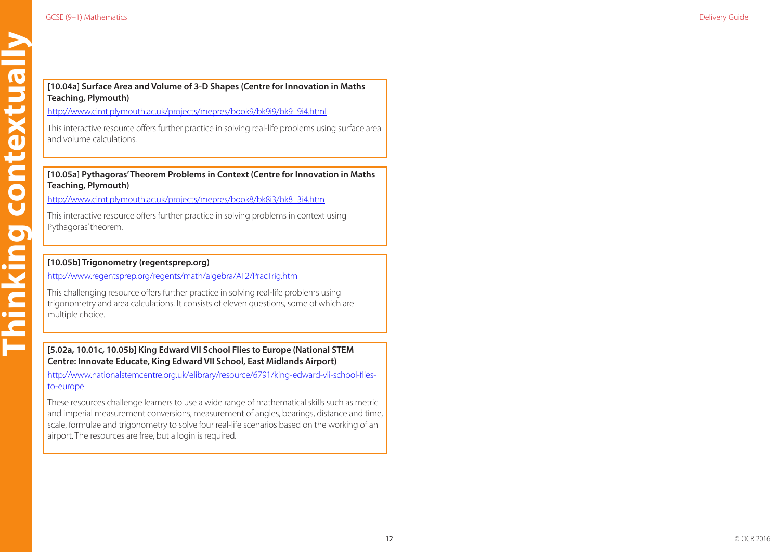**Thinking contextually**

Thinking contextually

# **[10.04a] Surface Area and Volume of 3-D Shapes (Centre for Innovation in Maths Teaching, Plymouth)**

[http://www.cimt.plymouth.ac.uk/projects/mepres/book9/bk9i9/bk9\\_9i4.html](http://www.cimt.plymouth.ac.uk/projects/mepres/book9/bk9i9/bk9_9i4.html)

This interactive resource offers further practice in solving real-life problems using surface area and volume calculations.

# **[10.05a] Pythagoras' Theorem Problems in Context (Centre for Innovation in Maths Teaching, Plymouth)**

[http://www.cimt.plymouth.ac.uk/projects/mepres/book8/bk8i3/bk8\\_3i4.htm](http://www.cimt.plymouth.ac.uk/projects/mepres/book8/bk8i3/bk8_3i4.htm)

This interactive resource offers further practice in solving problems in context using Pythagoras' theorem.

# **[10.05b] Trigonometry (regentsprep.org)**

<http://www.regentsprep.org/regents/math/algebra/AT2/PracTrig.htm>

This challenging resource offers further practice in solving real-life problems using trigonometry and area calculations. It consists of eleven questions, some of which are multiple choice.

# **[5.02a, 10.01c, 10.05b] King Edward VII School Flies to Europe (National STEM Centre: Innovate Educate, King Edward VII School, East Midlands Airport)**

[http://www.nationalstemcentre.org.uk/elibrary/resource/6791/king-edward-vii-school-flies](http://www.nationalstemcentre.org.uk/elibrary/resource/6791/king-edward-vii-school-flies-to-europe)[to-europe](http://www.nationalstemcentre.org.uk/elibrary/resource/6791/king-edward-vii-school-flies-to-europe)

These resources challenge learners to use a wide range of mathematical skills such as metric and imperial measurement conversions, measurement of angles, bearings, distance and time, scale, formulae and trigonometry to solve four real-life scenarios based on the working of an airport. The resources are free, but a login is required.